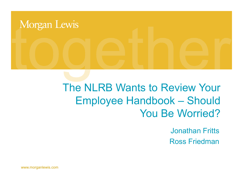# Morgan Lewis

## The NLRB Wants to Review Your Employee Handbook – Should You Be Worried?

Jonathan Fritts Ross Friedman

www.morganlewis.com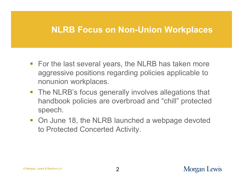#### **NLRB Focus on Non-Union Workplaces**

- For the last several years, the NLRB has taken more aggressive positions regarding policies applicable to nonunion workplaces.
- **The NLRB's focus generally involves allegations that** handbook policies are overbroad and "chill" protected speech.
- On June 18, the NLRB launched a webpage devoted to Protected Concerted Activity.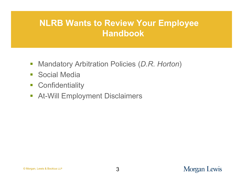#### **NLRB Wants to Review Your Employee Handbook**

- Mandatory Arbitration Policies (*D.R. Horton*)
- **Social Media**
- **-** Confidentiality
- **At-Will Employment Disclaimers**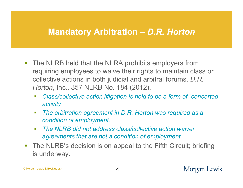#### **Mandatory Arbitration** *– D.R. Horton*

- **The NLRB held that the NLRA prohibits employers from** requiring employees to waive their rights to maintain class or collective actions in both judicial and arbitral forums. *D.R. Horton*, Inc., 357 NLRB No. 184 (2012).
	- *Class/collective action litigation is held to be a form of "concerted activity"*
	- *The arbitration agreement in D.R. Horton was required as a condition of employment.*
	- *The NLRB did not address class/collective action waiver agreements that are not a condition of employment.*
- **The NLRB's decision is on appeal to the Fifth Circuit; briefing** is underway.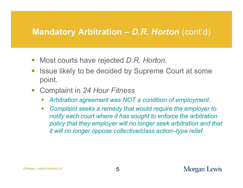#### **Mandatory Arbitration –** *D.R. Horton* (cont'd)

- Most courts have rejected *D.R. Horton*.
- Issue likely to be decided by Supreme Court at some point.
- Complaint in *24 Hour Fitness*
	- *Arbitration agreement was NOT a condition of employment.*
	- *Complaint seeks a remedy that would require the employer to notify each court where it has sought to enforce the arbitration policy that they employer will no longer seek arbitration and that it will no longer oppose collective/class action–type relief.*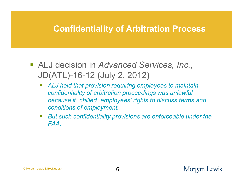#### **Confidentiality of Arbitration Process**

- ALJ decision in *Advanced Services, Inc.*, JD(ATL)-16-12 (July 2, 2012)
	- *ALJ held that provision requiring employees to maintain confidentiality of arbitration proceedings was unlawful because it "chilled" employees' rights to discuss terms and conditions of employment.*
	- *But such confidentiality provisions are enforceable under the FAA.*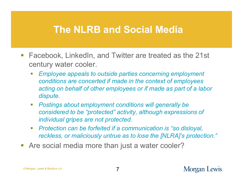- Facebook, LinkedIn, and Twitter are treated as the 21st century water cooler.
	- *Employee appeals to outside parties concerning employment conditions are concerted if made in the context of employees acting on behalf of other employees or if made as part of a labor dispute.*
	- *Postings about employment conditions will generally be considered to be "protected" activity, although expressions of individual gripes are not protected.*
	- *Protection can be forfeited if a communication is "so disloyal, reckless, or maliciously untrue as to lose the [NLRA]'s protection."*
- **-** Are social media more than just a water cooler?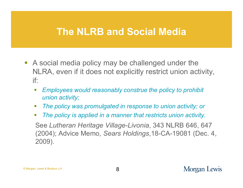- A social media policy may be challenged under the NLRA, even if it does not explicitly restrict union activity, if:
	- *Employees would reasonably construe the policy to prohibit union activity;*
	- *The policy was promulgated in response to union activity; or*
	- *The policy is applied in a manner that restricts union activity.*

See *Lutheran Heritage Village-Livonia*, 343 NLRB 646, 647 (2004); Advice Memo, *Sears Holdings*,18-CA-19081 (Dec. 4, 2009).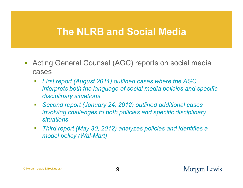- Acting General Counsel (AGC) reports on social media cases
	- *First report (August 2011) outlined cases where the AGC interprets both the language of social media policies and specific disciplinary situations*
	- *Second report (January 24, 2012) outlined additional cases involving challenges to both policies and specific disciplinary situations*
	- *Third report (May 30, 2012) analyzes policies and identifies a model policy (Wal-Mart)*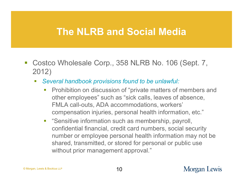- Costco Wholesale Corp., 358 NLRB No. 106 (Sept. 7, 2012)
	- *Several handbook provisions found to be unlawful:*
		- **Prohibition on discussion of "private matters of members and "** other employees" such as "sick calls, leaves of absence, FMLA call-outs, ADA accommodations, workers' compensation injuries, personal health information, etc."
		- **EXTERNIFF 15 Information such as membership, payroll,** confidential financial, credit card numbers, social security number or employee personal health information may not be shared, transmitted, or stored for personal or public use without prior management approval."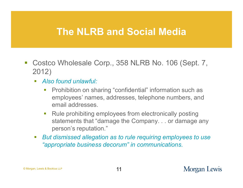- Costco Wholesale Corp., 358 NLRB No. 106 (Sept. 7, 2012)
	- *Also found unlawful:*
		- **Prohibition on sharing "confidential" information such as** employees' names, addresses, telephone numbers, and email addresses.
		- Rule prohibiting employees from electronically posting statements that "damage the Company. . . or damage any person's reputation."
	- *But dismissed allegation as to rule requiring employees to use "appropriate business decorum" in communications.*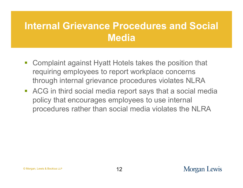## **Internal Grievance Procedures and Social Media**

- Complaint against Hyatt Hotels takes the position that requiring employees to report workplace concerns through internal grievance procedures violates NLRA
- ACG in third social media report says that a social media policy that encourages employees to use internal procedures rather than social media violates the NLRA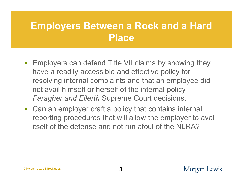## **Employers Between a Rock and a Hard Place**

- **Employers can defend Title VII claims by showing they** have a readily accessible and effective policy for resolving internal complaints and that an employee did not avail himself or herself of the internal policy – *Faragher and Ellerth* Supreme Court decisions.
- Can an employer craft a policy that contains internal reporting procedures that will allow the employer to avail itself of the defense and not run afoul of the NLRA?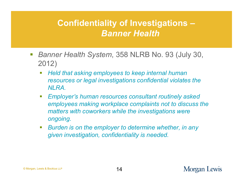#### **Confidentiality of Investigations –** *Banner Health*

- *Banner Health System*, 358 NLRB No. 93 (July 30, 2012)
	- *Held that asking employees to keep internal human resources or legal investigations confidential violates the NLRA.*
	- *Employer's human resources consultant routinely asked employees making workplace complaints not to discuss the matters with coworkers while the investigations were ongoing.*
	- *Burden is on the employer to determine whether, in any given investigation, confidentiality is needed.*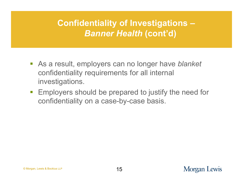## **Confidentiality of Investigations –** *Banner Health* **(cont'd)**

- As a result, employers can no longer have *blanket* confidentiality requirements for all internal investigations.
- **Employers should be prepared to justify the need for** confidentiality on a case-by-case basis.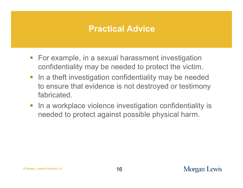#### **Practical Advice**

- **For example, in a sexual harassment investigation** confidentiality may be needed to protect the victim.
- **IF In a theft investigation confidentiality may be needed** to ensure that evidence is not destroyed or testimony fabricated.
- **IF In a workplace violence investigation confidentiality is** needed to protect against possible physical harm.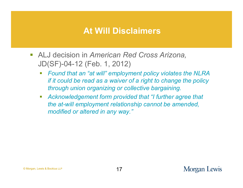#### **At Will Disclaimers**

- ALJ decision in *American Red Cross Arizona,* JD(SF)-04-12 (Feb. 1, 2012)
	- *Found that an "at will" employment policy violates the NLRA if it could be read as a waiver of a right to change the policy through union organizing or collective bargaining.*
	- *Acknowledgement form provided that "I further agree that the at-will employment relationship cannot be amended, modified or altered in any way."*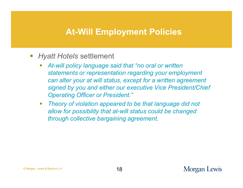#### **At-Will Employment Policies**

- *Hyatt Hotels* settlement
	- *At-will policy language said that "no oral or written statements or representation regarding your employment can alter your at will status, except for a written agreement signed by you and either our executive Vice President/Chief Operating Officer or President."*
	- *Theory of violation appeared to be that language did not allow for possibility that at-will status could be changed through collective bargaining agreement.*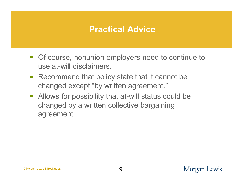#### **Practical Advice**

- **Of course, nonunion employers need to continue to** use at-will disclaimers.
- Recommend that policy state that it cannot be changed except "by written agreement."
- Allows for possibility that at-will status could be changed by a written collective bargaining agreement.